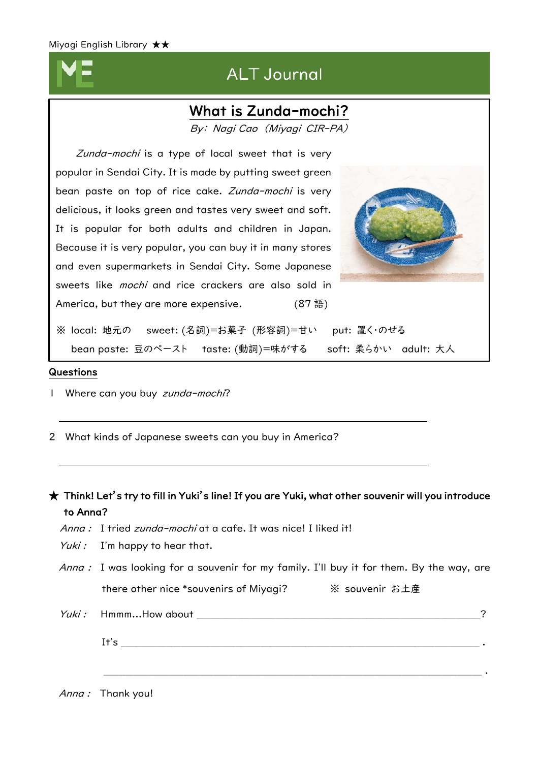$\overline{a}$  $\overline{\phantom{a}}$  $\overline{\phantom{a}}$  $\overline{\phantom{a}}$  $\overline{\phantom{a}}$  $\overline{\phantom{a}}$  $\overline{\phantom{a}}$  $\overline{\phantom{a}}$  $\overline{\phantom{a}}$  $\overline{\phantom{a}}$ I I I I  $\overline{\phantom{a}}$  $\overline{\phantom{a}}$  $\overline{\phantom{a}}$ 

# **ALT Journal**

## What is Zunda-mochi?

By: Nagi Cao (Miyagi CIR-PA)

Zunda-mochi is a type of local sweet that is very popular in Sendai City. It is made by putting sweet green bean paste on top of rice cake. Zunda-mochi is very delicious, it looks green and tastes very sweet and soft. It is popular for both adults and children in Japan. Because it is very popular, you can buy it in many stores and even supermarkets in Sendai City. Some Japanese sweets like *mochi* and rice crackers are also sold in America, but they are more expensive. (87語)



※ local: 地元の sweet: (名詞)=お菓子 (形容詞)=甘い put: 置く・のせる bean paste: 豆のペースト taste: (動詞)=味がする soft: 柔らかい adult: 大人

#### Questions

- 1 Where can you buy zunda-mochi?
- 2 What kinds of Japanese sweets can you buy in America?

### $\bigstar$  Think! Let's try to fill in Yuki's line! If you are Yuki, what other souvenir will you introduce to Anna?

- Anna : I tried zunda-mochi at a cafe. It was nice! I liked it!
- Yuki : I'm happy to hear that.

Anna : I was looking for a souvenir for my family. I'll buy it for them. By the way, are there other nice \*souvenirs of Miyagi? ※ souvenir お土産

Yuki : Hmmm...How about  $\overline{a}$ 

It's  $\blacksquare$ 

 $\mathcal{L}_\mathcal{L} = \{ \mathcal{L}_\mathcal{L} = \{ \mathcal{L}_\mathcal{L} = \{ \mathcal{L}_\mathcal{L} = \{ \mathcal{L}_\mathcal{L} = \{ \mathcal{L}_\mathcal{L} = \{ \mathcal{L}_\mathcal{L} = \{ \mathcal{L}_\mathcal{L} = \{ \mathcal{L}_\mathcal{L} = \{ \mathcal{L}_\mathcal{L} = \{ \mathcal{L}_\mathcal{L} = \{ \mathcal{L}_\mathcal{L} = \{ \mathcal{L}_\mathcal{L} = \{ \mathcal{L}_\mathcal{L} = \{ \mathcal{L}_\mathcal{$ 

Anna : Thank you!